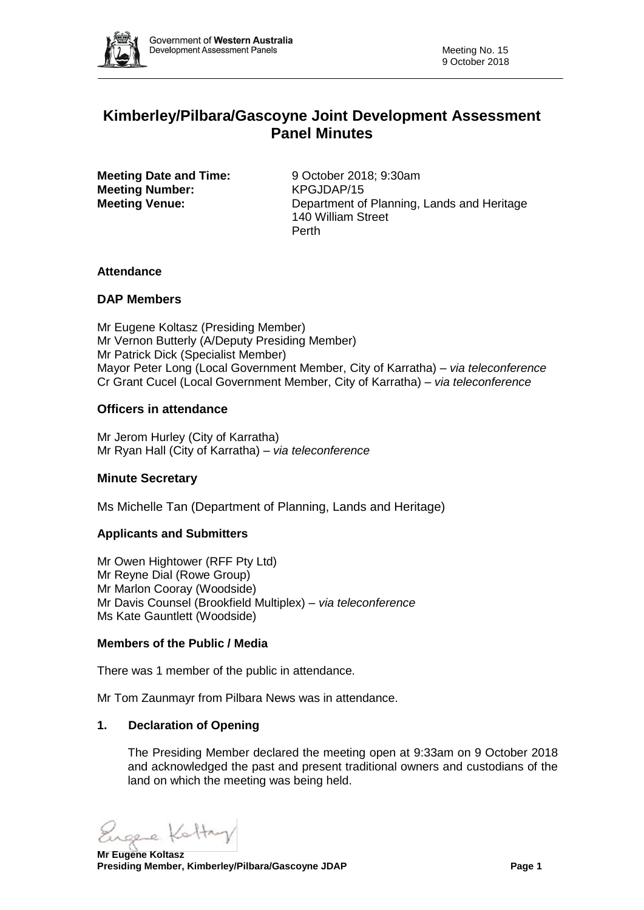

# **Kimberley/Pilbara/Gascoyne Joint Development Assessment Panel Minutes**

**Meeting Date and Time:** 9 October 2018: 9:30am **Meeting Number:** KPGJDAP/15

**Meeting Venue:** Department of Planning, Lands and Heritage 140 William Street Perth

# **Attendance**

# **DAP Members**

Mr Eugene Koltasz (Presiding Member) Mr Vernon Butterly (A/Deputy Presiding Member) Mr Patrick Dick (Specialist Member) Mayor Peter Long (Local Government Member, City of Karratha) *– via teleconference* Cr Grant Cucel (Local Government Member, City of Karratha) *– via teleconference*

# **Officers in attendance**

Mr Jerom Hurley (City of Karratha) Mr Ryan Hall (City of Karratha) *– via teleconference*

# **Minute Secretary**

Ms Michelle Tan (Department of Planning, Lands and Heritage)

#### **Applicants and Submitters**

Mr Owen Hightower (RFF Pty Ltd) Mr Reyne Dial (Rowe Group) Mr Marlon Cooray (Woodside) Mr Davis Counsel (Brookfield Multiplex) *– via teleconference* Ms Kate Gauntlett (Woodside)

#### **Members of the Public / Media**

There was 1 member of the public in attendance.

Mr Tom Zaunmayr from Pilbara News was in attendance.

# **1. Declaration of Opening**

The Presiding Member declared the meeting open at 9:33am on 9 October 2018 and acknowledged the past and present traditional owners and custodians of the land on which the meeting was being held.

ole Ketty

**Mr Eugene Koltasz Presiding Member, Kimberley/Pilbara/Gascoyne JDAP Page 1**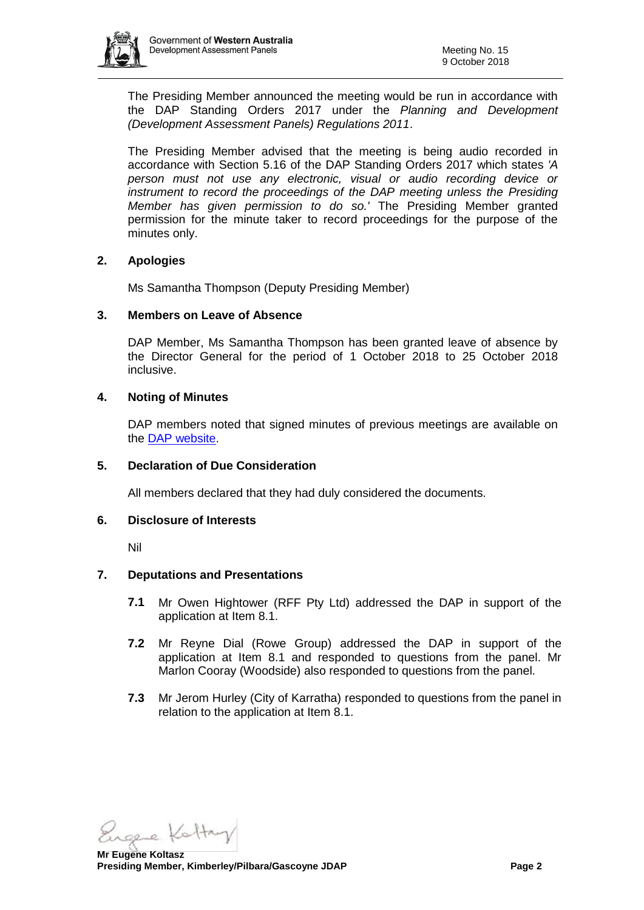

The Presiding Member announced the meeting would be run in accordance with the DAP Standing Orders 2017 under the *Planning and Development (Development Assessment Panels) Regulations 2011*.

The Presiding Member advised that the meeting is being audio recorded in accordance with Section 5.16 of the DAP Standing Orders 2017 which states *'A person must not use any electronic, visual or audio recording device or instrument to record the proceedings of the DAP meeting unless the Presiding Member has given permission to do so.'* The Presiding Member granted permission for the minute taker to record proceedings for the purpose of the minutes only.

# **2. Apologies**

Ms Samantha Thompson (Deputy Presiding Member)

#### **3. Members on Leave of Absence**

DAP Member, Ms Samantha Thompson has been granted leave of absence by the Director General for the period of 1 October 2018 to 25 October 2018 inclusive.

#### **4. Noting of Minutes**

DAP members noted that signed minutes of previous meetings are available on the [DAP website.](https://www.planning.wa.gov.au/7578.aspx)

#### **5. Declaration of Due Consideration**

All members declared that they had duly considered the documents.

#### **6. Disclosure of Interests**

Nil

# **7. Deputations and Presentations**

- **7.1** Mr Owen Hightower (RFF Pty Ltd) addressed the DAP in support of the application at Item 8.1.
- **7.2** Mr Reyne Dial (Rowe Group) addressed the DAP in support of the application at Item 8.1 and responded to questions from the panel. Mr Marlon Cooray (Woodside) also responded to questions from the panel.
- **7.3** Mr Jerom Hurley (City of Karratha) responded to questions from the panel in relation to the application at Item 8.1.

ole Ketty

**Mr Eugene Koltasz Presiding Member, Kimberley/Pilbara/Gascoyne JDAP Page 2**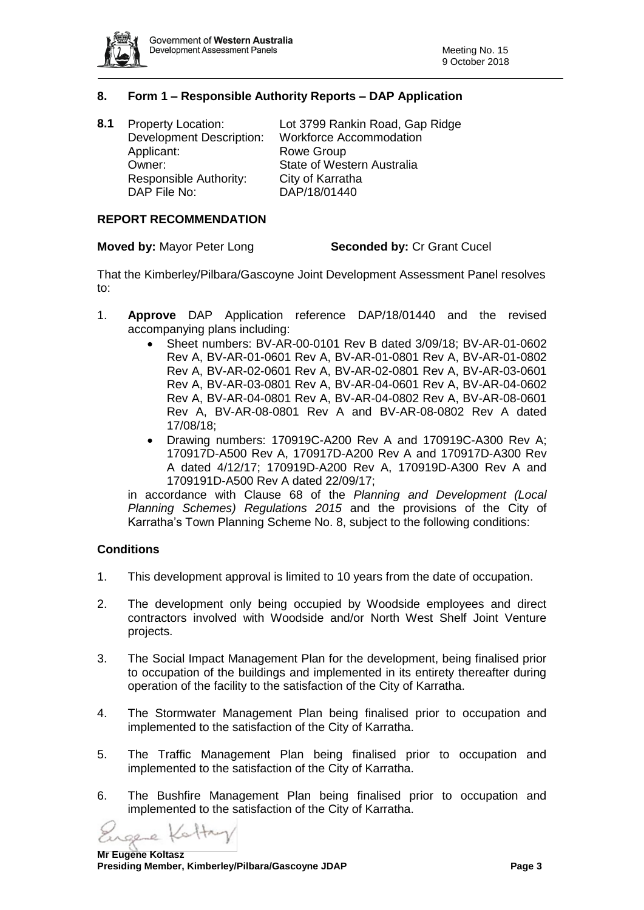

# **8. Form 1 – Responsible Authority Reports – DAP Application**

| 8.1 | <b>Property Location:</b><br><b>Development Description:</b> | Lot 3799 Rankin Road, Gap Ridge<br><b>Workforce Accommodation</b> |
|-----|--------------------------------------------------------------|-------------------------------------------------------------------|
|     | Applicant:                                                   | Rowe Group                                                        |
|     | Owner:                                                       | State of Western Australia                                        |
|     | Responsible Authority:                                       | City of Karratha                                                  |
|     | DAP File No:                                                 | DAP/18/01440                                                      |
|     |                                                              |                                                                   |

# **REPORT RECOMMENDATION**

#### **Moved by:** Mayor Peter Long **Seconded by:** Cr Grant Cucel

That the Kimberley/Pilbara/Gascoyne Joint Development Assessment Panel resolves to:

- 1. **Approve** DAP Application reference DAP/18/01440 and the revised accompanying plans including:
	- Sheet numbers: BV-AR-00-0101 Rev B dated 3/09/18; BV-AR-01-0602 Rev A, BV-AR-01-0601 Rev A, BV-AR-01-0801 Rev A, BV-AR-01-0802 Rev A, BV-AR-02-0601 Rev A, BV-AR-02-0801 Rev A, BV-AR-03-0601 Rev A, BV-AR-03-0801 Rev A, BV-AR-04-0601 Rev A, BV-AR-04-0602 Rev A, BV-AR-04-0801 Rev A, BV-AR-04-0802 Rev A, BV-AR-08-0601 Rev A, BV-AR-08-0801 Rev A and BV-AR-08-0802 Rev A dated 17/08/18;
	- Drawing numbers: 170919C-A200 Rev A and 170919C-A300 Rev A; 170917D-A500 Rev A, 170917D-A200 Rev A and 170917D-A300 Rev A dated 4/12/17; 170919D-A200 Rev A, 170919D-A300 Rev A and 1709191D-A500 Rev A dated 22/09/17;

in accordance with Clause 68 of the *Planning and Development (Local Planning Schemes) Regulations 2015* and the provisions of the City of Karratha's Town Planning Scheme No. 8, subject to the following conditions:

#### **Conditions**

- 1. This development approval is limited to 10 years from the date of occupation.
- 2. The development only being occupied by Woodside employees and direct contractors involved with Woodside and/or North West Shelf Joint Venture projects.
- 3. The Social Impact Management Plan for the development, being finalised prior to occupation of the buildings and implemented in its entirety thereafter during operation of the facility to the satisfaction of the City of Karratha.
- 4. The Stormwater Management Plan being finalised prior to occupation and implemented to the satisfaction of the City of Karratha.
- 5. The Traffic Management Plan being finalised prior to occupation and implemented to the satisfaction of the City of Karratha.
- 6. The Bushfire Management Plan being finalised prior to occupation and implemented to the satisfaction of the City of Karratha.

sere Kottay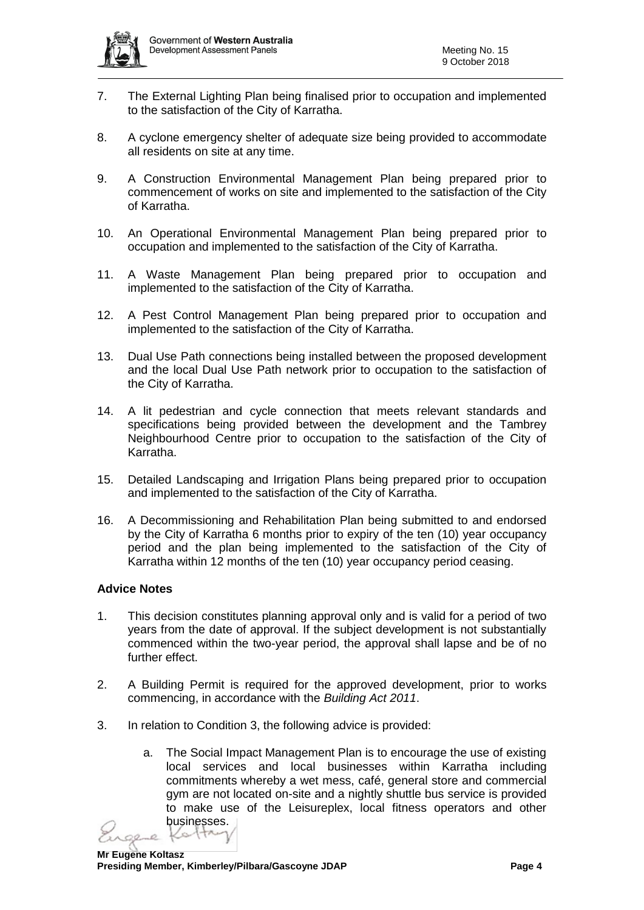

- 7. The External Lighting Plan being finalised prior to occupation and implemented to the satisfaction of the City of Karratha.
- 8. A cyclone emergency shelter of adequate size being provided to accommodate all residents on site at any time.
- 9. A Construction Environmental Management Plan being prepared prior to commencement of works on site and implemented to the satisfaction of the City of Karratha.
- 10. An Operational Environmental Management Plan being prepared prior to occupation and implemented to the satisfaction of the City of Karratha.
- 11. A Waste Management Plan being prepared prior to occupation and implemented to the satisfaction of the City of Karratha.
- 12. A Pest Control Management Plan being prepared prior to occupation and implemented to the satisfaction of the City of Karratha.
- 13. Dual Use Path connections being installed between the proposed development and the local Dual Use Path network prior to occupation to the satisfaction of the City of Karratha.
- 14. A lit pedestrian and cycle connection that meets relevant standards and specifications being provided between the development and the Tambrey Neighbourhood Centre prior to occupation to the satisfaction of the City of Karratha.
- 15. Detailed Landscaping and Irrigation Plans being prepared prior to occupation and implemented to the satisfaction of the City of Karratha.
- 16. A Decommissioning and Rehabilitation Plan being submitted to and endorsed by the City of Karratha 6 months prior to expiry of the ten (10) year occupancy period and the plan being implemented to the satisfaction of the City of Karratha within 12 months of the ten (10) year occupancy period ceasing.

# **Advice Notes**

- 1. This decision constitutes planning approval only and is valid for a period of two years from the date of approval. If the subject development is not substantially commenced within the two-year period, the approval shall lapse and be of no further effect.
- 2. A Building Permit is required for the approved development, prior to works commencing, in accordance with the *Building Act 2011*.
- 3. In relation to Condition 3, the following advice is provided:
	- a. The Social Impact Management Plan is to encourage the use of existing local services and local businesses within Karratha including commitments whereby a wet mess, café, general store and commercial gym are not located on-site and a nightly shuttle bus service is provided to make use of the Leisureplex, local fitness operators and other businesses.

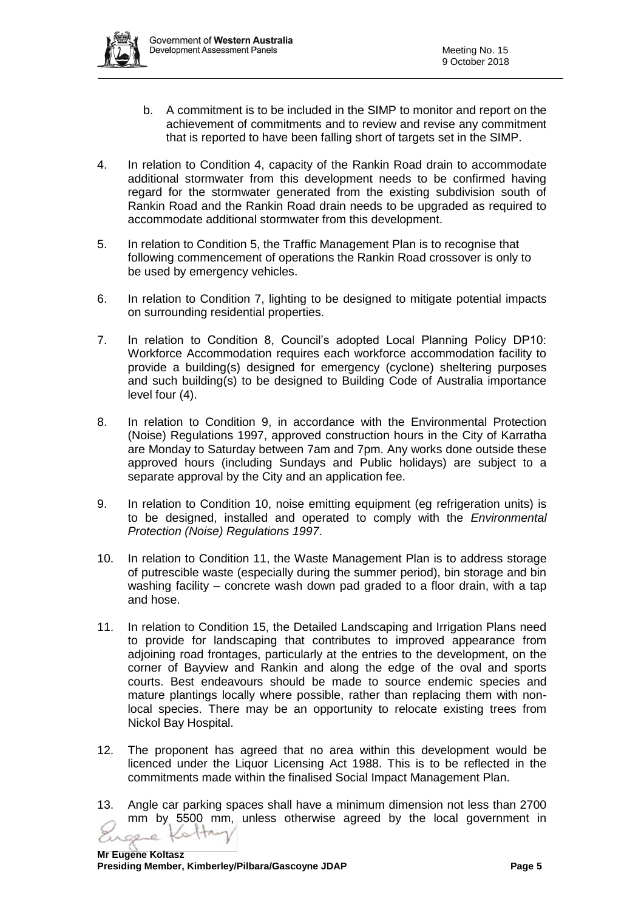- b. A commitment is to be included in the SIMP to monitor and report on the achievement of commitments and to review and revise any commitment that is reported to have been falling short of targets set in the SIMP.
- 4. In relation to Condition 4, capacity of the Rankin Road drain to accommodate additional stormwater from this development needs to be confirmed having regard for the stormwater generated from the existing subdivision south of Rankin Road and the Rankin Road drain needs to be upgraded as required to accommodate additional stormwater from this development.
- 5. In relation to Condition 5, the Traffic Management Plan is to recognise that following commencement of operations the Rankin Road crossover is only to be used by emergency vehicles.
- 6. In relation to Condition 7, lighting to be designed to mitigate potential impacts on surrounding residential properties.
- 7. In relation to Condition 8, Council's adopted Local Planning Policy DP10: Workforce Accommodation requires each workforce accommodation facility to provide a building(s) designed for emergency (cyclone) sheltering purposes and such building(s) to be designed to Building Code of Australia importance level four (4).
- 8. In relation to Condition 9, in accordance with the Environmental Protection (Noise) Regulations 1997, approved construction hours in the City of Karratha are Monday to Saturday between 7am and 7pm. Any works done outside these approved hours (including Sundays and Public holidays) are subject to a separate approval by the City and an application fee.
- 9. In relation to Condition 10, noise emitting equipment (eg refrigeration units) is to be designed, installed and operated to comply with the *Environmental Protection (Noise) Regulations 1997*.
- 10. In relation to Condition 11, the Waste Management Plan is to address storage of putrescible waste (especially during the summer period), bin storage and bin washing facility – concrete wash down pad graded to a floor drain, with a tap and hose.
- 11. In relation to Condition 15, the Detailed Landscaping and Irrigation Plans need to provide for landscaping that contributes to improved appearance from adjoining road frontages, particularly at the entries to the development, on the corner of Bayview and Rankin and along the edge of the oval and sports courts. Best endeavours should be made to source endemic species and mature plantings locally where possible, rather than replacing them with nonlocal species. There may be an opportunity to relocate existing trees from Nickol Bay Hospital.
- 12. The proponent has agreed that no area within this development would be licenced under the Liquor Licensing Act 1988. This is to be reflected in the commitments made within the finalised Social Impact Management Plan.
- 13. Angle car parking spaces shall have a minimum dimension not less than 2700 mm by 5500 mm, unless otherwise agreed by the local government in stay Ò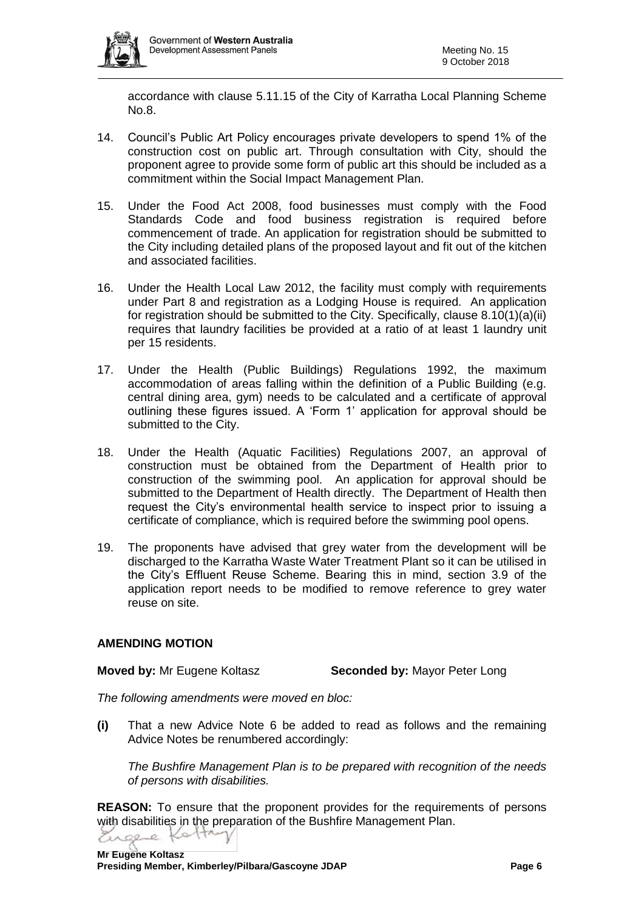

accordance with clause 5.11.15 of the City of Karratha Local Planning Scheme No.8.

- 14. Council's Public Art Policy encourages private developers to spend 1% of the construction cost on public art. Through consultation with City, should the proponent agree to provide some form of public art this should be included as a commitment within the Social Impact Management Plan.
- 15. Under the Food Act 2008, food businesses must comply with the Food Standards Code and food business registration is required before commencement of trade. An application for registration should be submitted to the City including detailed plans of the proposed layout and fit out of the kitchen and associated facilities.
- 16. Under the Health Local Law 2012, the facility must comply with requirements under Part 8 and registration as a Lodging House is required. An application for registration should be submitted to the City. Specifically, clause 8.10(1)(a)(ii) requires that laundry facilities be provided at a ratio of at least 1 laundry unit per 15 residents.
- 17. Under the Health (Public Buildings) Regulations 1992, the maximum accommodation of areas falling within the definition of a Public Building (e.g. central dining area, gym) needs to be calculated and a certificate of approval outlining these figures issued. A 'Form 1' application for approval should be submitted to the City.
- 18. Under the Health (Aquatic Facilities) Regulations 2007, an approval of construction must be obtained from the Department of Health prior to construction of the swimming pool. An application for approval should be submitted to the Department of Health directly. The Department of Health then request the City's environmental health service to inspect prior to issuing a certificate of compliance, which is required before the swimming pool opens.
- 19. The proponents have advised that grey water from the development will be discharged to the Karratha Waste Water Treatment Plant so it can be utilised in the City's Effluent Reuse Scheme. Bearing this in mind, section 3.9 of the application report needs to be modified to remove reference to grey water reuse on site.

# **AMENDING MOTION**

**Moved by:** Mr Eugene Koltasz **Seconded by:** Mayor Peter Long

*The following amendments were moved en bloc:*

**(i)** That a new Advice Note 6 be added to read as follows and the remaining Advice Notes be renumbered accordingly:

*The Bushfire Management Plan is to be prepared with recognition of the needs of persons with disabilities.*

**REASON:** To ensure that the proponent provides for the requirements of persons with disabilities in the preparation of the Bushfire Management Plan.Engere Kotta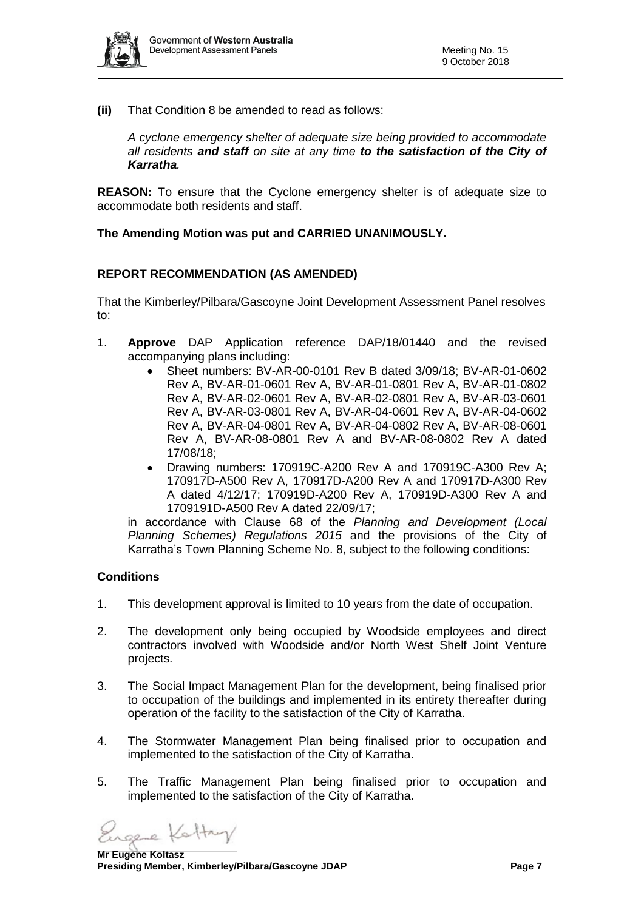

**(ii)** That Condition 8 be amended to read as follows:

*A cyclone emergency shelter of adequate size being provided to accommodate all residents and staff on site at any time to the satisfaction of the City of Karratha.*

**REASON:** To ensure that the Cyclone emergency shelter is of adequate size to accommodate both residents and staff.

#### **The Amending Motion was put and CARRIED UNANIMOUSLY.**

#### **REPORT RECOMMENDATION (AS AMENDED)**

That the Kimberley/Pilbara/Gascoyne Joint Development Assessment Panel resolves to:

- 1. **Approve** DAP Application reference DAP/18/01440 and the revised accompanying plans including:
	- Sheet numbers: BV-AR-00-0101 Rev B dated 3/09/18; BV-AR-01-0602 Rev A, BV-AR-01-0601 Rev A, BV-AR-01-0801 Rev A, BV-AR-01-0802 Rev A, BV-AR-02-0601 Rev A, BV-AR-02-0801 Rev A, BV-AR-03-0601 Rev A, BV-AR-03-0801 Rev A, BV-AR-04-0601 Rev A, BV-AR-04-0602 Rev A, BV-AR-04-0801 Rev A, BV-AR-04-0802 Rev A, BV-AR-08-0601 Rev A, BV-AR-08-0801 Rev A and BV-AR-08-0802 Rev A dated 17/08/18;
	- Drawing numbers: 170919C-A200 Rev A and 170919C-A300 Rev A; 170917D-A500 Rev A, 170917D-A200 Rev A and 170917D-A300 Rev A dated 4/12/17; 170919D-A200 Rev A, 170919D-A300 Rev A and 1709191D-A500 Rev A dated 22/09/17;

in accordance with Clause 68 of the *Planning and Development (Local Planning Schemes) Regulations 2015* and the provisions of the City of Karratha's Town Planning Scheme No. 8, subject to the following conditions:

#### **Conditions**

- 1. This development approval is limited to 10 years from the date of occupation.
- 2. The development only being occupied by Woodside employees and direct contractors involved with Woodside and/or North West Shelf Joint Venture projects.
- 3. The Social Impact Management Plan for the development, being finalised prior to occupation of the buildings and implemented in its entirety thereafter during operation of the facility to the satisfaction of the City of Karratha.
- 4. The Stormwater Management Plan being finalised prior to occupation and implemented to the satisfaction of the City of Karratha.
- 5. The Traffic Management Plan being finalised prior to occupation and implemented to the satisfaction of the City of Karratha.

sere Kattry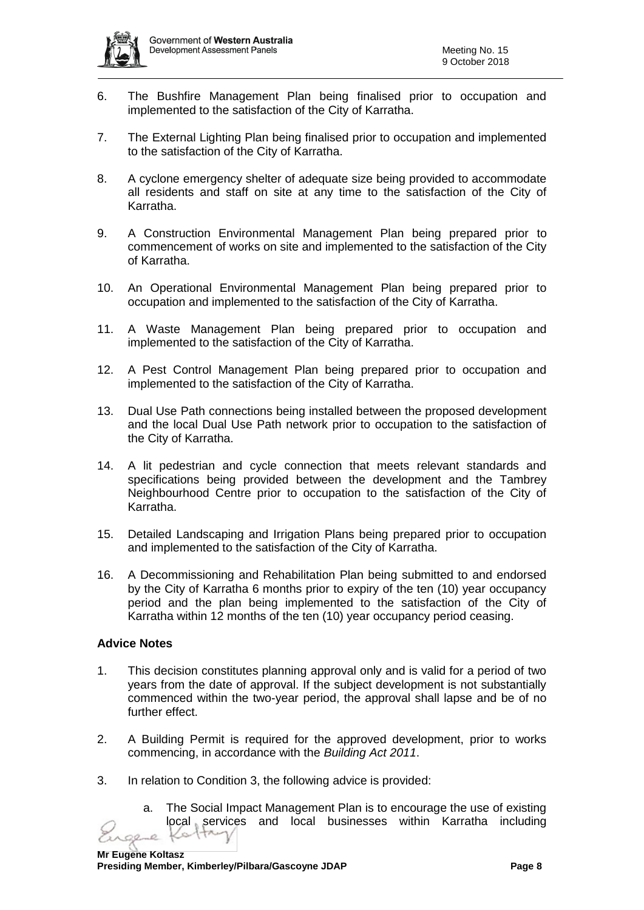

- 6. The Bushfire Management Plan being finalised prior to occupation and implemented to the satisfaction of the City of Karratha.
- 7. The External Lighting Plan being finalised prior to occupation and implemented to the satisfaction of the City of Karratha.
- 8. A cyclone emergency shelter of adequate size being provided to accommodate all residents and staff on site at any time to the satisfaction of the City of Karratha.
- 9. A Construction Environmental Management Plan being prepared prior to commencement of works on site and implemented to the satisfaction of the City of Karratha.
- 10. An Operational Environmental Management Plan being prepared prior to occupation and implemented to the satisfaction of the City of Karratha.
- 11. A Waste Management Plan being prepared prior to occupation and implemented to the satisfaction of the City of Karratha.
- 12. A Pest Control Management Plan being prepared prior to occupation and implemented to the satisfaction of the City of Karratha.
- 13. Dual Use Path connections being installed between the proposed development and the local Dual Use Path network prior to occupation to the satisfaction of the City of Karratha.
- 14. A lit pedestrian and cycle connection that meets relevant standards and specifications being provided between the development and the Tambrey Neighbourhood Centre prior to occupation to the satisfaction of the City of Karratha.
- 15. Detailed Landscaping and Irrigation Plans being prepared prior to occupation and implemented to the satisfaction of the City of Karratha.
- 16. A Decommissioning and Rehabilitation Plan being submitted to and endorsed by the City of Karratha 6 months prior to expiry of the ten (10) year occupancy period and the plan being implemented to the satisfaction of the City of Karratha within 12 months of the ten (10) year occupancy period ceasing.

# **Advice Notes**

- 1. This decision constitutes planning approval only and is valid for a period of two years from the date of approval. If the subject development is not substantially commenced within the two-year period, the approval shall lapse and be of no further effect.
- 2. A Building Permit is required for the approved development, prior to works commencing, in accordance with the *Building Act 2011*.
- 3. In relation to Condition 3, the following advice is provided:
	- a. The Social Impact Management Plan is to encourage the use of existing local services and local businesses within Karratha including Kotta  $\mathcal{L}$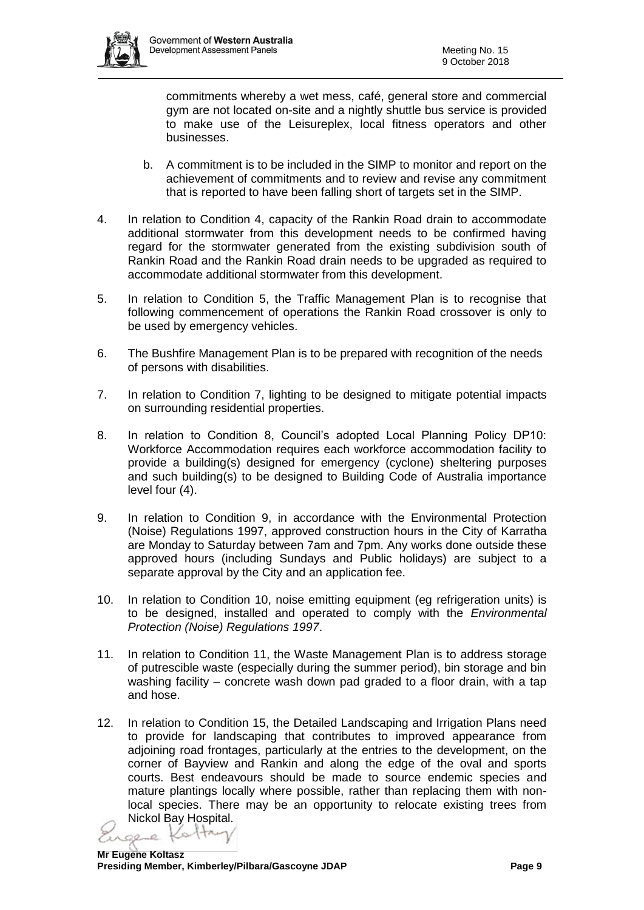

commitments whereby a wet mess, café, general store and commercial gym are not located on-site and a nightly shuttle bus service is provided to make use of the Leisureplex, local fitness operators and other businesses.

- b. A commitment is to be included in the SIMP to monitor and report on the achievement of commitments and to review and revise any commitment that is reported to have been falling short of targets set in the SIMP.
- 4. In relation to Condition 4, capacity of the Rankin Road drain to accommodate additional stormwater from this development needs to be confirmed having regard for the stormwater generated from the existing subdivision south of Rankin Road and the Rankin Road drain needs to be upgraded as required to accommodate additional stormwater from this development.
- 5. In relation to Condition 5, the Traffic Management Plan is to recognise that following commencement of operations the Rankin Road crossover is only to be used by emergency vehicles.
- 6. The Bushfire Management Plan is to be prepared with recognition of the needs of persons with disabilities.
- 7. In relation to Condition 7, lighting to be designed to mitigate potential impacts on surrounding residential properties.
- 8. In relation to Condition 8, Council's adopted Local Planning Policy DP10: Workforce Accommodation requires each workforce accommodation facility to provide a building(s) designed for emergency (cyclone) sheltering purposes and such building(s) to be designed to Building Code of Australia importance level four (4).
- 9. In relation to Condition 9, in accordance with the Environmental Protection (Noise) Regulations 1997, approved construction hours in the City of Karratha are Monday to Saturday between 7am and 7pm. Any works done outside these approved hours (including Sundays and Public holidays) are subject to a separate approval by the City and an application fee.
- 10. In relation to Condition 10, noise emitting equipment (eg refrigeration units) is to be designed, installed and operated to comply with the *Environmental Protection (Noise) Regulations 1997*.
- 11. In relation to Condition 11, the Waste Management Plan is to address storage of putrescible waste (especially during the summer period), bin storage and bin washing facility – concrete wash down pad graded to a floor drain, with a tap and hose.
- 12. In relation to Condition 15, the Detailed Landscaping and Irrigation Plans need to provide for landscaping that contributes to improved appearance from adjoining road frontages, particularly at the entries to the development, on the corner of Bayview and Rankin and along the edge of the oval and sports courts. Best endeavours should be made to source endemic species and mature plantings locally where possible, rather than replacing them with nonlocal species. There may be an opportunity to relocate existing trees from Nickol Bay Hospital.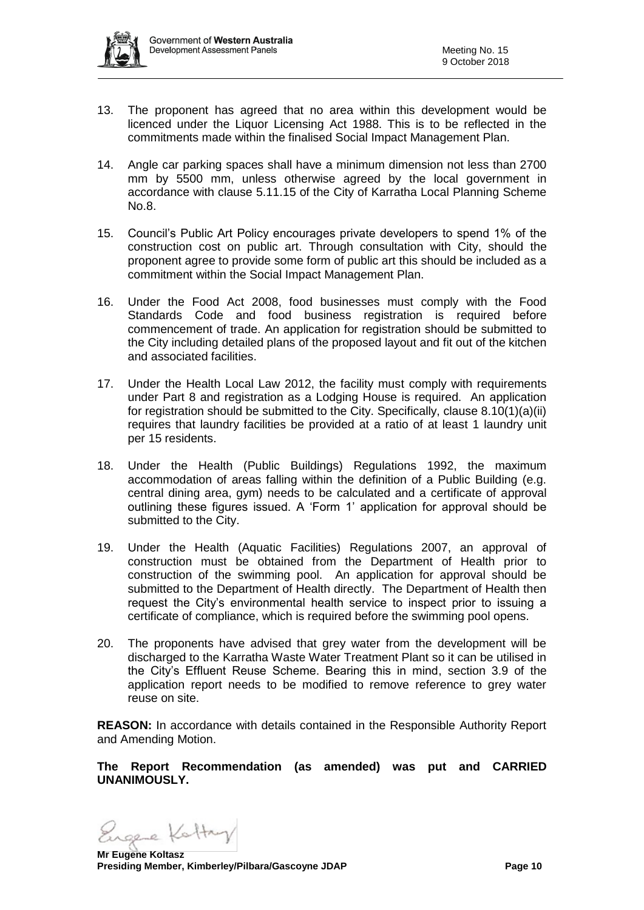

- 13. The proponent has agreed that no area within this development would be licenced under the Liquor Licensing Act 1988. This is to be reflected in the commitments made within the finalised Social Impact Management Plan.
- 14. Angle car parking spaces shall have a minimum dimension not less than 2700 mm by 5500 mm, unless otherwise agreed by the local government in accordance with clause 5.11.15 of the City of Karratha Local Planning Scheme No.8.
- 15. Council's Public Art Policy encourages private developers to spend 1% of the construction cost on public art. Through consultation with City, should the proponent agree to provide some form of public art this should be included as a commitment within the Social Impact Management Plan.
- 16. Under the Food Act 2008, food businesses must comply with the Food Standards Code and food business registration is required before commencement of trade. An application for registration should be submitted to the City including detailed plans of the proposed layout and fit out of the kitchen and associated facilities.
- 17. Under the Health Local Law 2012, the facility must comply with requirements under Part 8 and registration as a Lodging House is required. An application for registration should be submitted to the City. Specifically, clause 8.10(1)(a)(ii) requires that laundry facilities be provided at a ratio of at least 1 laundry unit per 15 residents.
- 18. Under the Health (Public Buildings) Regulations 1992, the maximum accommodation of areas falling within the definition of a Public Building (e.g. central dining area, gym) needs to be calculated and a certificate of approval outlining these figures issued. A 'Form 1' application for approval should be submitted to the City.
- 19. Under the Health (Aquatic Facilities) Regulations 2007, an approval of construction must be obtained from the Department of Health prior to construction of the swimming pool. An application for approval should be submitted to the Department of Health directly. The Department of Health then request the City's environmental health service to inspect prior to issuing a certificate of compliance, which is required before the swimming pool opens.
- 20. The proponents have advised that grey water from the development will be discharged to the Karratha Waste Water Treatment Plant so it can be utilised in the City's Effluent Reuse Scheme. Bearing this in mind, section 3.9 of the application report needs to be modified to remove reference to grey water reuse on site.

**REASON:** In accordance with details contained in the Responsible Authority Report and Amending Motion.

**The Report Recommendation (as amended) was put and CARRIED UNANIMOUSLY.**

Ingere Kattry

**Mr Eugene Koltasz Presiding Member, Kimberley/Pilbara/Gascoyne JDAP Page 10**